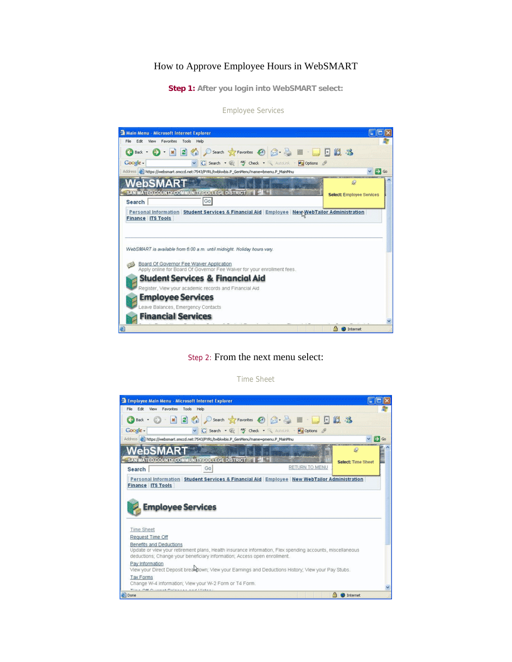# How to Approve Employee Hours in WebSMART

**Step 1: After you login into WebSMART select:**

 $\Box$ o $\times$ **Ca** Main Menu - Microsoft Internet Explorer File Edit View Favorites Tools Help 鸓 **OBack · 〇 · ※ 日伯 P Search ☆ Favorites ④ B · 忌 ■ ■ ■ 日説 洛** Google -V G Search . @ MF Check . Restortink . Engloptions & Address (2) https://websmart.smccd.net:7543/PYRL/twbkwbis.P\_GenMenu?name=bmenu.P\_MainMnu  $\vee$   $\bigoplus$  Go **WebSMART**  $\circ$ SAN MATEO COUNTY COMMUNITY COLLEGE DISTRICT | 1 Select: Employee Services Go Search Personal Information | Student Services & Financial Aid | Employee | New WebTailor Administration **Finance ITS Tools** WebSMART is available from 6:00 a.m. until midnight. Holiday hours vary. Board Of Governor Fee Walver Application<br>Apply online for Board Of Governor Fee Walver for your enrollment fees. **Student Services & Financial Aid** Register, View your academic records and Financial Aid **Employee Services** Leave Balances, Emergency Contacts **Financial Services A** O Internet

Employee Services

#### Step 2: From the next menu select:



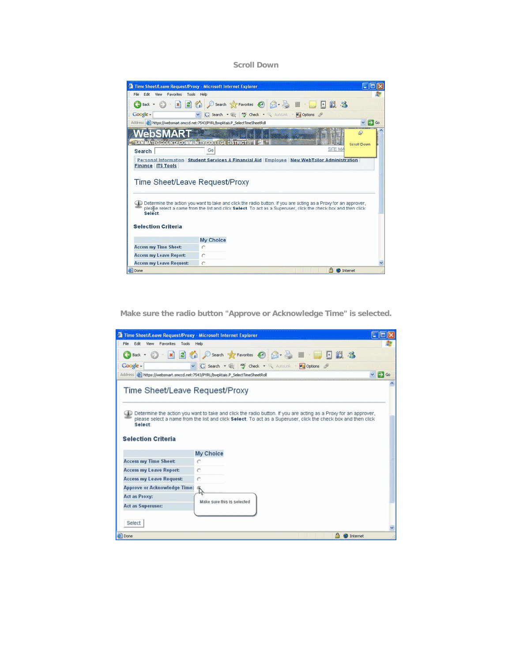**Scroll Down** 

| Time Sheet/Leave Request/Proxy - Microsoft Internet Explorer                                      |                                                                                                                                                                                                                                   | 医肌瘤         |
|---------------------------------------------------------------------------------------------------|-----------------------------------------------------------------------------------------------------------------------------------------------------------------------------------------------------------------------------------|-------------|
| Edit<br>File<br>View<br>Favorites Tools Help                                                      |                                                                                                                                                                                                                                   |             |
| Back -                                                                                            | - B C C Search S Favorites @ 3 - & III<br>日的名                                                                                                                                                                                     |             |
| Google -                                                                                          | G Search . @ <sup>Ay</sup> Check . AutoLink . Pa Options &                                                                                                                                                                        |             |
|                                                                                                   | Address (2) https://websmart.smccd.net:7543/PYRL/bwpktais.P_SelectTimeSheetRoll                                                                                                                                                   | E Go        |
| vebsl                                                                                             |                                                                                                                                                                                                                                   | Q           |
| SAN MATEO COUNTY COMMUNITY COLLEGE DISTRICT                                                       |                                                                                                                                                                                                                                   | Scroll Down |
| Search                                                                                            | SITE MA<br>Gol                                                                                                                                                                                                                    |             |
| <b>Finance ITS Tools</b><br>Time Sheet/Leave Request/Proxy<br>Select<br><b>Selection Criteria</b> | Determine the action you want to take and click the radio button. If you are acting as a Proxy for an approver,<br>pleabe select a name from the list and click Select. To act as a Superuser, click the check box and then click |             |
|                                                                                                   |                                                                                                                                                                                                                                   |             |
|                                                                                                   | My Choice                                                                                                                                                                                                                         |             |
| <b>Access my Time Sheet:</b>                                                                      | c                                                                                                                                                                                                                                 |             |
| <b>Access my Leave Report:</b>                                                                    | c                                                                                                                                                                                                                                 |             |
| <b>Access my Leave Request:</b>                                                                   | c                                                                                                                                                                                                                                 |             |
| <b>B</b> Done                                                                                     | <b>D</b> Internet                                                                                                                                                                                                                 |             |

**Make sure the radio button "Approve or Acknowledge Time" is selected.** 

| Time Sheet/Leave Request/Proxy - Microsoft Internet Explorer |                                                                                                                                                                                                                                   |                  |
|--------------------------------------------------------------|-----------------------------------------------------------------------------------------------------------------------------------------------------------------------------------------------------------------------------------|------------------|
| File<br>Edit<br>View Favorites Tools Help                    |                                                                                                                                                                                                                                   |                  |
| $x \mid x$<br>Back -                                         | Search Pavorites @<br>設备<br>圓<br>G.                                                                                                                                                                                               |                  |
| Google -                                                     | v G Search . W Gheck . AutoLink . Woodbons                                                                                                                                                                                        |                  |
|                                                              | Address (a) https://websmart.smccd.net:7543/PYRL/bwpktais.P_SelectTimeSheetRoll                                                                                                                                                   | $\vee$ $\Box$ Go |
| Time Sheet/Leave Request/Proxy                               |                                                                                                                                                                                                                                   |                  |
| Select.<br><b>Selection Criteria</b>                         | Determine the action you want to take and click the radio button. If you are acting as a Proxy for an approver,<br>please select a name from the list and click Select. To act as a Superuser, click the check box and then click |                  |
| <b>Access my Time Sheet:</b>                                 | My Choice                                                                                                                                                                                                                         |                  |
| <b>Access my Leave Report:</b>                               | c                                                                                                                                                                                                                                 |                  |
| <b>Access my Leave Request:</b>                              |                                                                                                                                                                                                                                   |                  |
| <b>Approve or Acknowledge Time:</b>                          |                                                                                                                                                                                                                                   |                  |
| Act as Proxy:                                                | $\tilde{L}$                                                                                                                                                                                                                       |                  |
| <b>Act as Superuser:</b>                                     | Make sure this is selected                                                                                                                                                                                                        |                  |
|                                                              |                                                                                                                                                                                                                                   |                  |
| Select                                                       |                                                                                                                                                                                                                                   |                  |
| <b>B</b> Done                                                | <b>CD</b> Internet                                                                                                                                                                                                                |                  |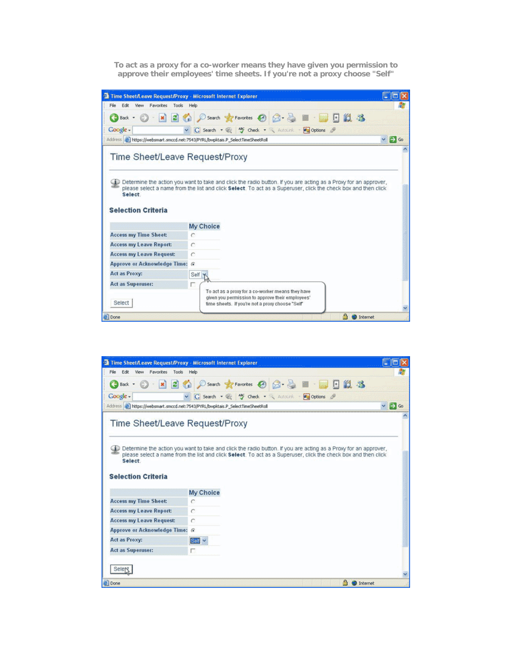**To act as a proxy for a co-worker means they have given you permission to approve their employees' time sheets. If you're not a proxy choose "Self"**

|                                                                                                                                                                                        | <b>Time Sheet/Leave Request/Proxy - Microsoft Internet Explorer</b>                                             | 医神经                   |
|----------------------------------------------------------------------------------------------------------------------------------------------------------------------------------------|-----------------------------------------------------------------------------------------------------------------|-----------------------|
| File Edit<br>View<br>Favorites Tools Help                                                                                                                                              |                                                                                                                 |                       |
| $=$ $\mathbf{x}$ $\mathbf{z}$<br><b>CE Back +</b>                                                                                                                                      | Search of Favorites @ 2 - & III<br>日段名<br>C.                                                                    |                       |
| Coogle -                                                                                                                                                                               | G Search . @ My Check . AutoLink . Doptions                                                                     |                       |
|                                                                                                                                                                                        | Address (a) https://websmart.smccd.net:7543/PYRL/bwpktais.P_SelectTimeSheetRoll                                 | $\vee$ $\bigoplus$ Go |
| Time Sheet/Leave Request/Proxy                                                                                                                                                         | Determine the action you want to take and click the radio button. If you are acting as a Proxy for an approver, |                       |
|                                                                                                                                                                                        | please select a name from the list and click Select. To act as a Superuser, click the check box and then click  |                       |
| Select                                                                                                                                                                                 |                                                                                                                 |                       |
|                                                                                                                                                                                        | My Choice                                                                                                       |                       |
|                                                                                                                                                                                        |                                                                                                                 |                       |
|                                                                                                                                                                                        | C<br>c                                                                                                          |                       |
|                                                                                                                                                                                        | $\sqrt{6}$                                                                                                      |                       |
| <b>Selection Criteria</b><br><b>Access my Time Sheet:</b><br><b>Access my Leave Report:</b><br><b>Access my Leave Request:</b><br><b>Approve or Acknowledge Time:</b><br>Act as Proxy: |                                                                                                                 |                       |
| <b>Act as Superuser:</b>                                                                                                                                                               | Self                                                                                                            |                       |

|                                                      | <b>Time Sheet/Leave Request/Proxy - Microsoft Internet Explorer</b>                                                                                                                                                               |                  |
|------------------------------------------------------|-----------------------------------------------------------------------------------------------------------------------------------------------------------------------------------------------------------------------------------|------------------|
| File.<br>Edit<br>View<br>Favorites<br>Tools          | Help                                                                                                                                                                                                                              |                  |
| x2<br>$\Box$ Back $\cdot$ $\Box$ $\cdot$             | ○search ☆Favorites ④ △· △ 圖 · ■ · 国 日 設 名                                                                                                                                                                                         |                  |
| Coogle -                                             | G Search . W Check . AutoLink . Pupplions &                                                                                                                                                                                       |                  |
|                                                      | Address a https://websmart.smccd.net:7543/PYRL/bwpktais.P_SelectTimeSheetRoll                                                                                                                                                     | $\vee$ $\Box$ Go |
| Time Sheet/Leave Request/Proxy                       |                                                                                                                                                                                                                                   |                  |
|                                                      |                                                                                                                                                                                                                                   |                  |
| Select.<br><b>Selection Criteria</b>                 | Determine the action you want to take and click the radio button. If you are acting as a Proxy for an approver,<br>please select a name from the list and click Select. To act as a Superuser, click the check box and then click |                  |
|                                                      | My Choice                                                                                                                                                                                                                         |                  |
| <b>Access my Time Sheet:</b>                         | c                                                                                                                                                                                                                                 |                  |
| <b>Access my Leave Report:</b>                       | c                                                                                                                                                                                                                                 |                  |
| <b>Access my Leave Request:</b>                      | c                                                                                                                                                                                                                                 |                  |
| <b>Approve or Acknowledge Time:</b><br>Act as Proxy: | $\sqrt{6}$<br>$\frac{1}{2}$ said $\frac{1}{2}$                                                                                                                                                                                    |                  |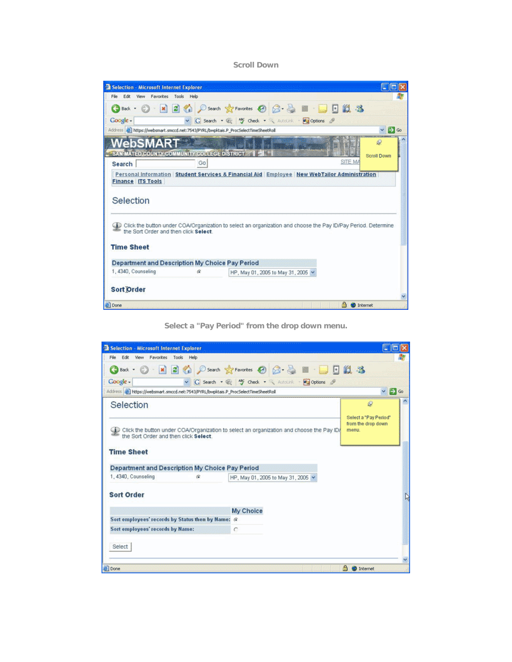**Scroll Down** 

| Selection - Microsoft Internet Explorer                   |    |                                                                                                               |                     |
|-----------------------------------------------------------|----|---------------------------------------------------------------------------------------------------------------|---------------------|
| Edit<br>File<br>View Favorites Tools Help                 |    |                                                                                                               |                     |
| Back +                                                    |    | O E B Osearch St Favorites @ B - B E D E LL 13                                                                |                     |
| Google -                                                  |    | v G Search . @ My Check . X AutoLink . My Options &                                                           |                     |
|                                                           |    | Address (2) https://websmart.smccd.net:7543/PYRL/bwpktais.P_ProcSelectTimeSheetRoll                           | $\vee$ $\bullet$ Go |
| WebSMA                                                    |    |                                                                                                               | Ω                   |
| SAN MATEO COUNTY COMMUNITY COLLEGE DISTRICT               |    |                                                                                                               | Scroll Down         |
| Search                                                    | Go | SITE MA                                                                                                       |                     |
| <b>Finance ITS Tools</b><br>Selection                     |    | Personal Information Student Services & Financial Aid Employee New WebTailor Administration                   |                     |
| the Sort Order and then click Select<br><b>Time Sheet</b> |    | Click the button under COA/Organization to select an organization and choose the Pay ID/Pay Period. Determine |                     |
| Department and Description My Choice Pay Period           |    |                                                                                                               |                     |
| 1, 4340, Counseling                                       | æ  | HP, May 01, 2005 to May 31, 2005                                                                              |                     |
| <b>Sort Order</b>                                         |    |                                                                                                               |                     |
|                                                           |    |                                                                                                               |                     |

**Select a "Pay Period" from the drop down menu.** 

| Selection - Microsoft Internet Explorer                                             |            |                                                                                          |                                                      | 胴                |
|-------------------------------------------------------------------------------------|------------|------------------------------------------------------------------------------------------|------------------------------------------------------|------------------|
| Edit<br>View Favorites Tools Help<br>File                                           |            |                                                                                          |                                                      |                  |
|                                                                                     |            | <b>O</b> Book • ⊙ · R 2 ⊙ △ P Search ☆ Favorites ④ B · 忌 ■ □ □ 説 %                       |                                                      |                  |
| Coogle -                                                                            |            | v C Search . @ My Check . & Autour . Doptions                                            |                                                      |                  |
| Address and https://websmart.smccd.net:7543/PYRL/bwpktais.P_ProcSelectTimeSheetRoll |            |                                                                                          |                                                      | $\vee$ $\Box$ Go |
| Selection                                                                           |            |                                                                                          | Q                                                    |                  |
| the Sort Order and then click Select.<br><b>Time Sheet</b>                          |            | Click the button under COA/Organization to select an organization and choose the Pay ID/ | Select a "Pay Period"<br>from the drop down<br>menu. |                  |
| Department and Description My Choice Pay Period                                     |            |                                                                                          |                                                      |                  |
| 1, 4340, Counseling                                                                 | $\sqrt{6}$ | HP, May 01, 2005 to May 31, 2005 v                                                       |                                                      |                  |
| <b>Sort Order</b>                                                                   |            |                                                                                          |                                                      | R                |
|                                                                                     |            | My Choice                                                                                |                                                      |                  |
| Sort employees' records by Status then by Name: G                                   |            |                                                                                          |                                                      |                  |
| Sort employees' records by Name:                                                    |            | $\circ$                                                                                  |                                                      |                  |
| Select                                                                              |            |                                                                                          |                                                      |                  |
|                                                                                     |            |                                                                                          |                                                      |                  |
| <b>B</b> lDone                                                                      |            |                                                                                          | thernet                                              |                  |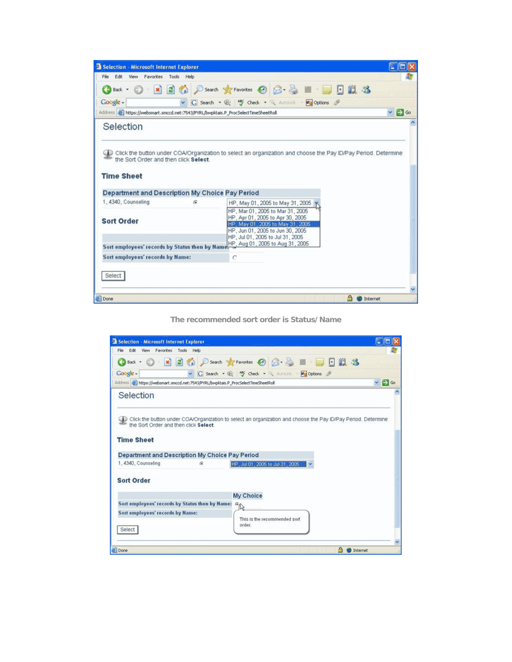| Selection - Microsoft Internet Explorer                                                                                              |            |                                                                                                                                                                                   | ξœ,                   |
|--------------------------------------------------------------------------------------------------------------------------------------|------------|-----------------------------------------------------------------------------------------------------------------------------------------------------------------------------------|-----------------------|
| File Edit View<br>Favorites Tools Help                                                                                               |            |                                                                                                                                                                                   |                       |
| $O - x = 2$<br>Back -                                                                                                                |            | ○Search ☆Favorites ④ ② → ■ · ■ · 国 图 3                                                                                                                                            |                       |
| Coogle -                                                                                                                             |            | G Search . @ MS Check . AutoLink . Pulptions &                                                                                                                                    |                       |
| Address & https://websmart.smccd.net:7543/PYRL/bwpktais.P_ProcSelectTimeSheetRoll                                                    |            |                                                                                                                                                                                   | $\vee$ $\bigoplus$ Go |
| Selection                                                                                                                            |            |                                                                                                                                                                                   |                       |
| the Sort Order and then click Select.<br><b>Time Sheet</b><br>Department and Description My Choice Pay Period<br>1, 4340, Counseling | $\sqrt{2}$ | HP, May 01, 2005 to May 31, 2005                                                                                                                                                  |                       |
| <b>Sort Order</b>                                                                                                                    |            | HP, Mar 01, 2005 to Mar 31, 2005<br>HP, Apr 01, 2005 to Apr 30, 2005<br>HP. May 01, 2005 to May 31, 2005.<br>HP, Jun 01, 2005 to Jun 30, 2005<br>HP. Jul 01. 2005 to Jul 31. 2005 |                       |
|                                                                                                                                      |            | Sort employees' records by Status then by Names (x, Aug 01, 2005 to Aug 31, 2005)                                                                                                 |                       |
| Sort employees' records by Name:                                                                                                     |            | C                                                                                                                                                                                 |                       |
| Select                                                                                                                               |            |                                                                                                                                                                                   |                       |
| <b>B</b> Done                                                                                                                        |            |                                                                                                                                                                                   | Internet              |

**The recommended sort order is Status/Name** 

| Selection - Microsoft Internet Explorer                                                                       |            |                                                                                                               | 四川区              |
|---------------------------------------------------------------------------------------------------------------|------------|---------------------------------------------------------------------------------------------------------------|------------------|
| File Edit View Favorites Tools Help                                                                           |            |                                                                                                               |                  |
|                                                                                                               |            | <b>3</b> Back · ○ · R 国伯 P Search ★ Favorites ④ B · 忌 图 · □ 图 説 路                                             |                  |
| Coogle -                                                                                                      |            | v G Search . W Check . Autourk . Wall Options                                                                 |                  |
| Address at https://websmart.smccd.net:7543/PYRL/bwpktais.P_ProcSelectTimeSheetRoll                            |            |                                                                                                               | $\vee$ $\Box$ Go |
| Selection                                                                                                     |            |                                                                                                               |                  |
| the Sort Order and then click Select.<br><b>Time Sheet</b><br>Department and Description My Choice Pay Period |            | Click the button under COA/Organization to select an organization and choose the Pay ID/Pay Period. Determine |                  |
| 1, 4340, Counseling                                                                                           | $\sqrt{ }$ | HE RUIDENCE GUILSTROUSED V                                                                                    |                  |
| <b>Sort Order</b>                                                                                             |            |                                                                                                               |                  |
|                                                                                                               |            | My Choice                                                                                                     |                  |
| Sort employees' records by Status then by Name:                                                               |            | $\mathbb{R}^3$                                                                                                |                  |
| Sort employees' records by Name:                                                                              |            |                                                                                                               |                  |
| <b>Select</b>                                                                                                 |            | This is the recommended sort<br>order.                                                                        |                  |
|                                                                                                               |            |                                                                                                               |                  |
| @ Done                                                                                                        |            | <b>C</b> Internet                                                                                             |                  |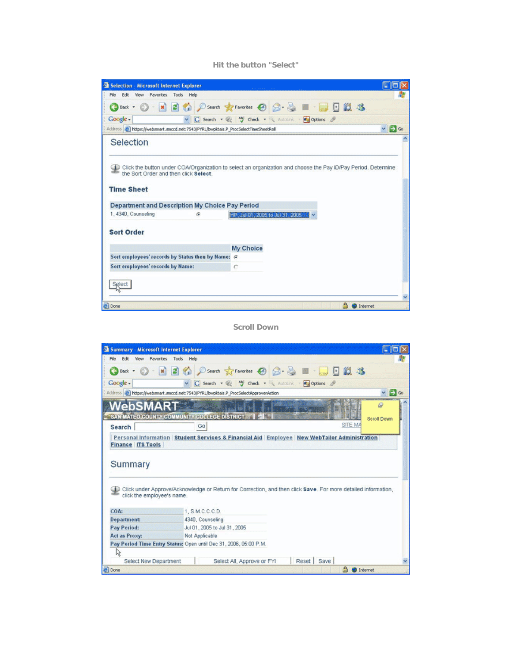## **Hit the button "Select"**

| Selection - Microsoft Internet Explorer                                                                                              |            |                                              | 化因               |
|--------------------------------------------------------------------------------------------------------------------------------------|------------|----------------------------------------------|------------------|
| File<br>Edit<br>View Favorites Tools Help                                                                                            |            |                                              |                  |
| Back +                                                                                                                               |            | O ES Cosarch Ar Favorites @ 3 - B E DE 11 3  |                  |
| Coogle -                                                                                                                             |            | v G Search . @ My Check . Autourk . Doptions |                  |
| Address (a) https://websmart.smccd.net:7543/PYRL/bwpktais.P_ProcSelectTimeSheetRoll                                                  |            |                                              | $\vee$ $\Box$ Go |
| Selection                                                                                                                            |            |                                              |                  |
| the Sort Order and then click Select.<br><b>Time Sheet</b><br>Department and Description My Choice Pay Period<br>1, 4340, Counseling | $\sqrt{2}$ | HP, Jul 01, 2005 to Jul 31, 2005             |                  |
| <b>Sort Order</b>                                                                                                                    |            |                                              |                  |
|                                                                                                                                      |            | My Choice                                    |                  |
| Sort employees' records by Status then by Name: G                                                                                    |            |                                              |                  |
| Sort employees' records by Name:                                                                                                     |            | $\circ$                                      |                  |
|                                                                                                                                      |            |                                              |                  |
|                                                                                                                                      |            |                                              |                  |
|                                                                                                                                      |            |                                              |                  |
| <b>a</b> ) Done                                                                                                                      |            |                                              | Internet         |

# **Scroll Down**

| Edit<br>File:<br>View<br>$\vert x \vert$ $\vert x \vert$<br><b>B</b> Back | Favorites Tools Help                                                                                          |                        |
|---------------------------------------------------------------------------|---------------------------------------------------------------------------------------------------------------|------------------------|
|                                                                           |                                                                                                               |                        |
|                                                                           | 名 D Search ☆Favorites → 日 日 山 弘 洛                                                                             |                        |
| Google -                                                                  | v G Search . W Gheck . AutoLink . Deptions &                                                                  |                        |
|                                                                           | Address (a) https://websmart.smccd.net:7543/PYRL/bwpktais.P_ProcSelectApproverAction                          | $\vee$ $\bigoplus$ Go  |
| ebSN                                                                      |                                                                                                               | ó.                     |
|                                                                           | SAN MATEO COUNTY COMMUNITY COLLEGE DISTRICT                                                                   |                        |
|                                                                           |                                                                                                               | Scroll Down<br>SITE MA |
| Search                                                                    | Go                                                                                                            |                        |
| click the employee's name.                                                | Click under Approve/Acknowledge or Return for Correction, and then click Save. For more detailed information, |                        |
| COA:                                                                      | 1. S.M.C.C.C.D.                                                                                               |                        |
|                                                                           | 4340, Counseling                                                                                              |                        |
| <b>Department:</b>                                                        | Jul 01, 2005 to Jul 31, 2005                                                                                  |                        |
| Pay Period:                                                               |                                                                                                               |                        |
| Act as Proxy:                                                             | Not Applicable                                                                                                |                        |
|                                                                           | Pay Period Time Entry Status: Open until Dec 31, 2006, 05:00 P.M.                                             |                        |
| 仪<br>Select New Department                                                | Reset   Save<br>Select All, Approve or FYI                                                                    |                        |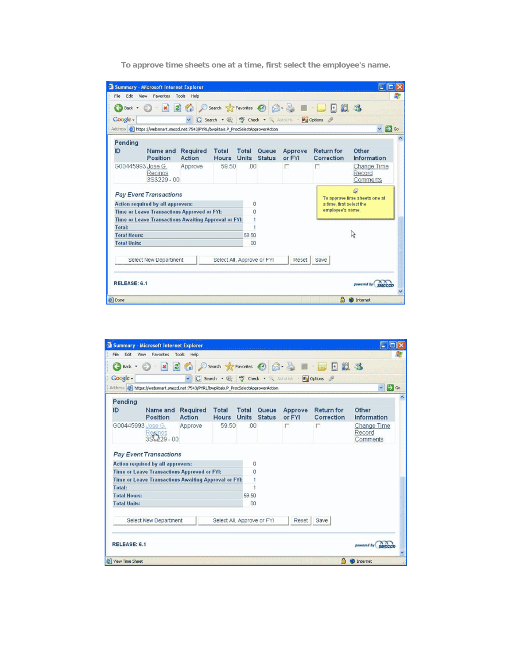| Coogle -                                   | Address (a) https://websmart.smccd.net:7543/PYRL/bwpktais.P_ProcSelectApproverAction |                    |                            |                       |                        | v C Search . W theck . Autolink . Eg Options |                                 | $\vee$ $\bigcirc$ Go                           |
|--------------------------------------------|--------------------------------------------------------------------------------------|--------------------|----------------------------|-----------------------|------------------------|----------------------------------------------|---------------------------------|------------------------------------------------|
| Pending                                    |                                                                                      |                    |                            |                       |                        |                                              |                                 |                                                |
| ID                                         | Name and<br>Position                                                                 | Required<br>Action | <b>Total</b><br>Hours      | Total<br><b>Units</b> | Queue<br><b>Status</b> | Approve<br>or FYI                            | <b>Return for</b><br>Correction | Other<br>Information                           |
| G00445993 Jose G.                          | Recinos<br>3S3229-00                                                                 | Approve            | 59.50                      | 00                    |                        | г                                            | n                               | Change Time<br>Record<br>Comments              |
|                                            | <b>Pay Event Transactions</b>                                                        |                    |                            |                       |                        |                                              |                                 | $\mathcal{Q}$<br>To approve time sheets one at |
|                                            | Action required by all approvers:                                                    |                    |                            | 0                     |                        |                                              | a time, first select the        |                                                |
|                                            | Time or Leave Transactions Approved or FYI:                                          |                    |                            | n                     |                        |                                              | employee's name.                |                                                |
|                                            | Time or Leave Transactions Awaiting Approval or FYI:                                 |                    |                            |                       |                        |                                              |                                 |                                                |
| Total:                                     |                                                                                      |                    |                            |                       |                        |                                              |                                 |                                                |
| <b>Total Hours:</b><br><b>Total Units:</b> |                                                                                      |                    |                            | 59.50<br>.00          |                        |                                              |                                 | R                                              |
|                                            |                                                                                      |                    |                            |                       |                        |                                              |                                 |                                                |
|                                            | Select New Department                                                                |                    | Select All, Approve or FYI |                       |                        | Reset                                        | Save                            |                                                |

|                      | Summary - Microsoft Internet Explorer                                                   |                           |                                    |       |                               |                                             |                                                                  |                                   | 攌            |
|----------------------|-----------------------------------------------------------------------------------------|---------------------------|------------------------------------|-------|-------------------------------|---------------------------------------------|------------------------------------------------------------------|-----------------------------------|--------------|
| File<br>Edit         | View Favorites Tools Help                                                               |                           |                                    |       |                               |                                             |                                                                  |                                   |              |
|                      |                                                                                         |                           |                                    |       |                               |                                             | <b>3</b> Back • ○ · ※ 日伯 ○ Search ★ Favorites ④ △ · △ ■ · ■ 日段 洛 |                                   |              |
| Coogle -             |                                                                                         |                           |                                    |       |                               | G Search . W Check . AutoLink . Pulptions & |                                                                  |                                   |              |
|                      | Address @ https://websmart.smccd.net:7543/PYRL/bwpktais.P_Proc5electApproverAction      |                           |                                    |       |                               |                                             |                                                                  | $\backsim$                        | <b>EX</b> Go |
| Pending              |                                                                                         |                           |                                    |       |                               |                                             |                                                                  |                                   |              |
| ID                   | Name and<br><b>Position</b>                                                             | Required<br><b>Action</b> | <b>Total</b><br><b>Hours</b> Units | Total | <b>Oueue</b><br><b>Status</b> | Approve<br>or FYI                           | <b>Return for</b><br>Correction                                  | Other<br>Information              |              |
|                      | G00445993 Jose G<br>$\frac{\text{Re} \mu \text{nos}}{352229 - 00}$                      | Approve                   | 59.50                              | .00   |                               | г                                           | г                                                                | Change Time<br>Record<br>Comments |              |
|                      | <b>Pay Event Transactions</b>                                                           |                           |                                    | o     |                               |                                             |                                                                  |                                   |              |
|                      | Action required by all approvers:<br><b>Time or Leave Transactions Approved or FYI:</b> |                           |                                    | n     |                               |                                             |                                                                  |                                   |              |
|                      | <b>Time or Leave Transactions Awaiting Approval or FYI:</b>                             |                           |                                    |       |                               |                                             |                                                                  |                                   |              |
| Total:               |                                                                                         |                           |                                    |       |                               |                                             |                                                                  |                                   |              |
| <b>Total Hours:</b>  |                                                                                         |                           |                                    | 59.50 |                               |                                             |                                                                  |                                   |              |
| <b>Total Units:</b>  |                                                                                         |                           |                                    | .00   |                               |                                             |                                                                  |                                   |              |
|                      | Select New Department                                                                   |                           | Select All, Approve or FYI         |       |                               | Reset                                       | Save                                                             |                                   |              |
| RELEASE: 6.1         |                                                                                         |                           |                                    |       |                               |                                             |                                                                  | powered by                        |              |
| le   View Time Sheet |                                                                                         |                           |                                    |       |                               |                                             |                                                                  | <b>C</b> Internet                 |              |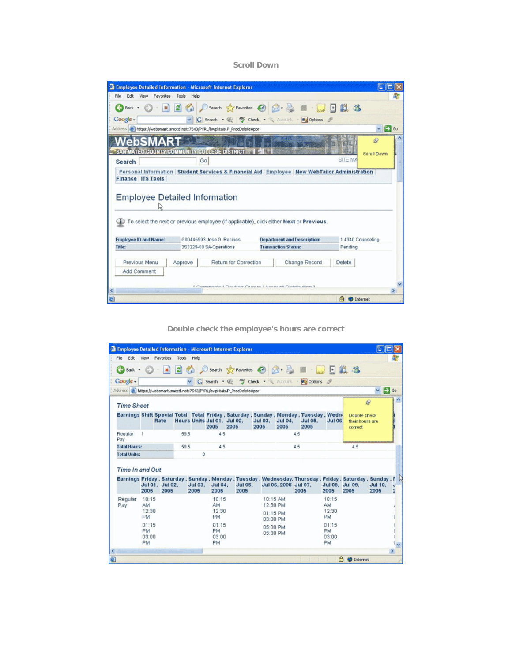**Scroll Down** 

| Edit<br>File<br>View                                             | Favorites Tools Help                                 |                                                                                                       |                                    |               |               |                   |
|------------------------------------------------------------------|------------------------------------------------------|-------------------------------------------------------------------------------------------------------|------------------------------------|---------------|---------------|-------------------|
| <b>CB</b> Back                                                   | $\left  \begin{array}{c} x \\ y \end{array} \right $ | © D Search <x +="" 12="" 3<="" b="B" favorites="" th="" →=""><th></th><th></th><th></th><th></th></x> |                                    |               |               |                   |
| Google -                                                         |                                                      | G Search . @ <sup>Ay</sup> Check . AutoLink . Pa Options &                                            |                                    |               |               |                   |
|                                                                  |                                                      | Address & https://websmart.smccd.net:7543/PYRL/bwpktais.P_ProcDeleteAppr                              |                                    |               |               | EX Go             |
| <b>NebSMA</b>                                                    |                                                      |                                                                                                       |                                    |               |               | Q                 |
| SAN MATEO COUNTY COMMUNITY COLLEGE DISTRICT                      |                                                      |                                                                                                       |                                    |               |               | Scroll Down       |
| Search                                                           | Go                                                   |                                                                                                       |                                    |               | SITE MA       |                   |
|                                                                  |                                                      | Personal Information Student Services & Financial Aid Employee New WebTailor Administration           |                                    |               |               |                   |
| <b>Finance ITS Tools</b><br><b>Employee Detailed Information</b> |                                                      | To select the next or previous employee (if applicable), click either Next or Previous.               |                                    |               |               |                   |
| <b>Employee ID and Name:</b>                                     |                                                      | G00445993 Jose G. Recinos                                                                             | <b>Department and Description:</b> |               |               | 1 4340 Counseling |
|                                                                  |                                                      | 3S3229-00 SA-Operations                                                                               | <b>Transaction Status:</b>         |               | Pendina       |                   |
| Previous Menu                                                    | Approve                                              | Return for Correction                                                                                 |                                    | Change Record | <b>Delete</b> |                   |
| Add Comment                                                      |                                                      |                                                                                                       |                                    |               |               |                   |
| Title:                                                           |                                                      | L'Ommergele L'Orgaliere Quanto L'Annount Dictribution 1                                               |                                    |               |               |                   |

**Double check the employee's hours are correct** 

|                     |                            |                         |      |                 |                                     | <b>Employee Detailed Information - Microsoft Internet Explorer</b>         |                        |                                              |                                                                                                                                      |                             |                                             | 國國                     |                     |
|---------------------|----------------------------|-------------------------|------|-----------------|-------------------------------------|----------------------------------------------------------------------------|------------------------|----------------------------------------------|--------------------------------------------------------------------------------------------------------------------------------------|-----------------------------|---------------------------------------------|------------------------|---------------------|
| Edit<br>File        | View                       | Favorites Tools Help    |      |                 |                                     |                                                                            |                        |                                              |                                                                                                                                      |                             |                                             |                        |                     |
|                     |                            |                         |      |                 |                                     |                                                                            |                        |                                              | <b>3 Back • ○ · R 2 ① Search ☆ Favorites ④ ② - ③ 图 · ■ · ■ 图 说 名</b>                                                                 |                             |                                             |                        |                     |
| Google -            |                            |                         |      |                 |                                     |                                                                            |                        |                                              | v G Search . W Y Check . AutoLink . Doptions &                                                                                       |                             |                                             |                        |                     |
|                     |                            |                         |      |                 |                                     | Address (a) https://websmart.smccd.net:7543/PYRL/bwpktais.P ProcDeleteAppr |                        |                                              |                                                                                                                                      |                             |                                             | $\vee$ $\bigoplus$ Go  |                     |
| <b>Time Sheet</b>   |                            |                         |      |                 |                                     |                                                                            |                        |                                              |                                                                                                                                      |                             |                                             | $\mathcal{Q}$          |                     |
|                     |                            | Rate                    |      |                 | Hours Units Jul 01. Jul 02.<br>2005 | 2005                                                                       | <b>Jul 03.</b><br>2005 | <b>Jul 04.</b><br>2005                       | Earnings Shift Special Total Total Friday, Saturday, Sunday, Monday, Tuesday, Wedn<br><b>Jul 05.</b><br>2005                         | <b>Jul 06</b>               | Double check<br>their hours are<br>correct. |                        |                     |
| Regular<br>Pay      | $-1$                       |                         | 59.5 |                 | 4.5                                 |                                                                            |                        |                                              | 4.5                                                                                                                                  |                             |                                             |                        |                     |
| <b>Total Hours:</b> |                            |                         | 59.5 |                 | 4.5                                 |                                                                            |                        |                                              | 4.5                                                                                                                                  |                             | 4.5                                         |                        |                     |
| <b>Total Units:</b> |                            |                         |      | 0               |                                     |                                                                            |                        |                                              |                                                                                                                                      |                             |                                             |                        |                     |
| Time In and Out     |                            |                         |      |                 |                                     |                                                                            |                        |                                              |                                                                                                                                      |                             |                                             |                        |                     |
|                     | 2005                       | Jul 01. Jul 02.<br>2005 |      | Jul 03.<br>2005 | <b>Jul 04.</b><br>2005              | <b>Jul 05.</b><br>2005                                                     |                        |                                              | Earnings Friday, Saturday, Sunday, Monday, Tuesday, Wednesday, Thursday, Friday, Saturday, Sunday, M<br>Jul 06, 2005 Jul 07.<br>2005 | Jul 08, Jul 09,<br>2005     | 2005                                        | <b>Jul 10.</b><br>2005 | J<br>$\overline{2}$ |
| Regular<br>Pav      | 10:15<br>AM<br>12:30<br>PM |                         |      |                 | 10:15<br>AM<br>12:30<br>PM          |                                                                            |                        | 10:15 AM<br>12:30 PM<br>01:15 PM<br>03:00 PM |                                                                                                                                      | 10:15<br>AM<br>12:30<br>PM  |                                             |                        |                     |
|                     | 01:15<br><b>PM</b>         |                         |      |                 | 01:15<br><b>PM</b><br>03:00         |                                                                            |                        | 05:00 PM<br>05:30 PM                         |                                                                                                                                      | 01:15<br><b>PM</b><br>03:00 |                                             |                        |                     |
|                     | 03:00<br><b>PM</b>         |                         |      |                 | <b>PM</b>                           |                                                                            |                        |                                              |                                                                                                                                      | PM.                         |                                             |                        |                     |